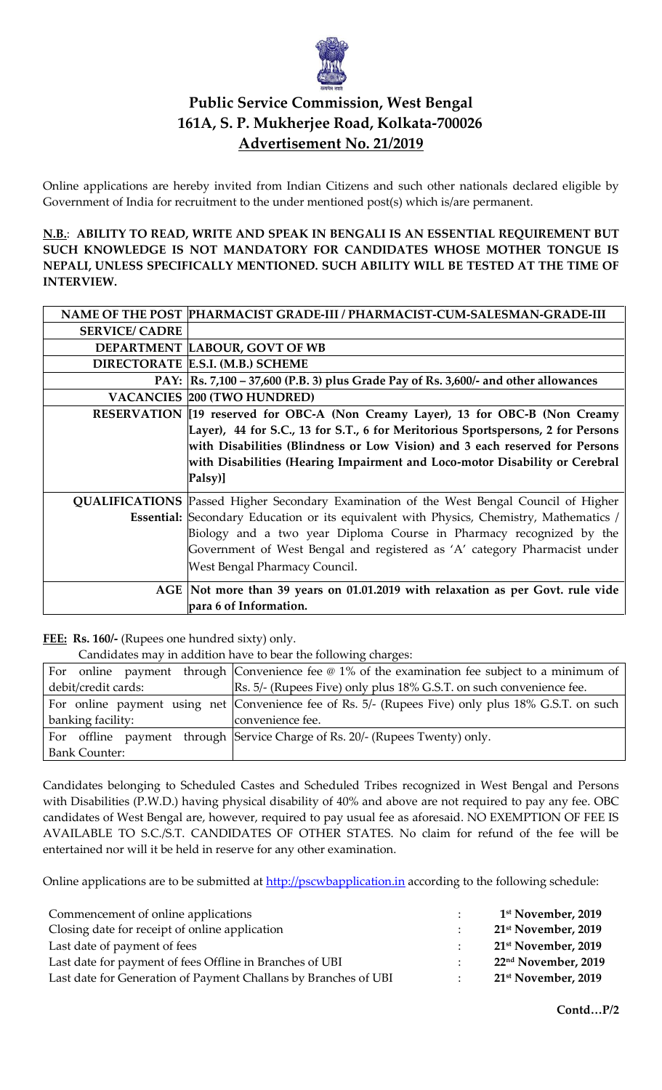

# **Public Service Commission, West Bengal 161A, S. P. Mukherjee Road, Kolkata-700026 Advertisement No. 21/2019**

Online applications are hereby invited from Indian Citizens and such other nationals declared eligible by Government of India for recruitment to the under mentioned post(s) which is/are permanent.

**N.B.**: **ABILITY TO READ, WRITE AND SPEAK IN BENGALI IS AN ESSENTIAL REQUIREMENT BUT SUCH KNOWLEDGE IS NOT MANDATORY FOR CANDIDATES WHOSE MOTHER TONGUE IS NEPALI, UNLESS SPECIFICALLY MENTIONED. SUCH ABILITY WILL BE TESTED AT THE TIME OF INTERVIEW.**

|                       | NAME OF THE POST PHARMACIST GRADE-III / PHARMACIST-CUM-SALESMAN-GRADE-III                      |
|-----------------------|------------------------------------------------------------------------------------------------|
| <b>SERVICE/ CADRE</b> |                                                                                                |
|                       | DEPARTMENT LABOUR, GOVT OF WB                                                                  |
|                       | DIRECTORATE E.S.I. (M.B.) SCHEME                                                               |
|                       | PAY:  Rs. 7,100 - 37,600 (P.B. 3) plus Grade Pay of Rs. 3,600/- and other allowances           |
|                       | <b>VACANCIES 200 (TWO HUNDRED)</b>                                                             |
|                       | RESERVATION [19 reserved for OBC-A (Non Creamy Layer), 13 for OBC-B (Non Creamy                |
|                       | Layer), 44 for S.C., 13 for S.T., 6 for Meritorious Sportspersons, 2 for Persons               |
|                       | with Disabilities (Blindness or Low Vision) and 3 each reserved for Persons                    |
|                       | with Disabilities (Hearing Impairment and Loco-motor Disability or Cerebral                    |
|                       | Palsy)]                                                                                        |
|                       | <b>QUALIFICATIONS</b> Passed Higher Secondary Examination of the West Bengal Council of Higher |
|                       | <b>Essential:</b> Secondary Education or its equivalent with Physics, Chemistry, Mathematics / |
|                       | Biology and a two year Diploma Course in Pharmacy recognized by the                            |
|                       | Government of West Bengal and registered as 'A' category Pharmacist under                      |
|                       | West Bengal Pharmacy Council.                                                                  |
|                       | AGE Not more than 39 years on 01.01.2019 with relaxation as per Govt. rule vide                |
|                       | para 6 of Information.                                                                         |

**FEE: Rs. 160/-** (Rupees one hundred sixty) only.

Candidates may in addition have to bear the following charges:

|                      | $\sim$ . The second control is the second state to be seen the second thing called good            |
|----------------------|----------------------------------------------------------------------------------------------------|
| For                  | online payment through Convenience fee $\omega$ 1% of the examination fee subject to a minimum of  |
| debit/credit cards:  | [Rs. 5/- (Rupees Five) only plus 18% G.S.T. on such convenience fee.                               |
|                      | For online payment using net Convenience fee of Rs. 5/- (Rupees Five) only plus 18% G.S.T. on such |
| banking facility:    | convenience fee.                                                                                   |
|                      | For offline payment through Service Charge of Rs. 20/- (Rupees Twenty) only.                       |
| <b>Bank Counter:</b> |                                                                                                    |

Candidates belonging to Scheduled Castes and Scheduled Tribes recognized in West Bengal and Persons with Disabilities (P.W.D.) having physical disability of 40% and above are not required to pay any fee. OBC candidates of West Bengal are, however, required to pay usual fee as aforesaid. NO EXEMPTION OF FEE IS AVAILABLE TO S.C./S.T. CANDIDATES OF OTHER STATES. No claim for refund of the fee will be entertained nor will it be held in reserve for any other examination.

Online applications are to be submitted at http://pscwbapplication.in according to the following schedule:

| Commencement of online applications                             |  | 1 <sup>st</sup> November, 2019  |
|-----------------------------------------------------------------|--|---------------------------------|
| Closing date for receipt of online application                  |  | 21 <sup>st</sup> November, 2019 |
| Last date of payment of fees                                    |  | 21 <sup>st</sup> November, 2019 |
| Last date for payment of fees Offline in Branches of UBI        |  | 22 <sup>nd</sup> November, 2019 |
| Last date for Generation of Payment Challans by Branches of UBI |  | 21 <sup>st</sup> November, 2019 |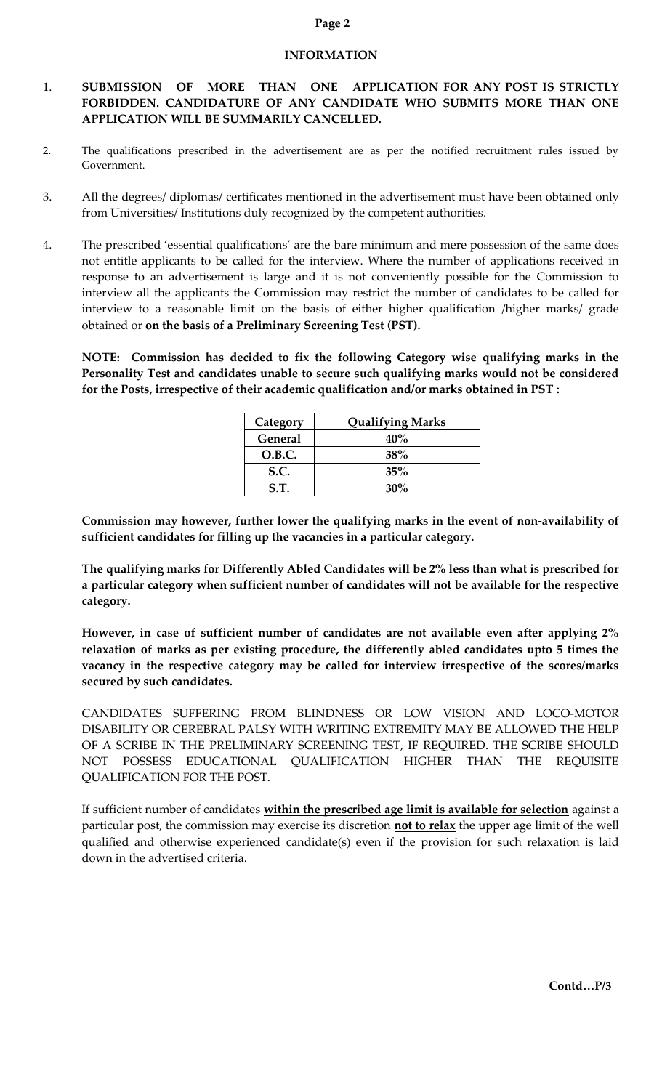#### **INFORMATION**

# 1. **SUBMISSION OF MORE THAN ONE APPLICATION FOR ANY POST IS STRICTLY FORBIDDEN. CANDIDATURE OF ANY CANDIDATE WHO SUBMITS MORE THAN ONE APPLICATION WILL BE SUMMARILY CANCELLED.**

- 2. The qualifications prescribed in the advertisement are as per the notified recruitment rules issued by Government.
- 3. All the degrees/ diplomas/ certificates mentioned in the advertisement must have been obtained only from Universities/ Institutions duly recognized by the competent authorities.
- 4. The prescribed 'essential qualifications' are the bare minimum and mere possession of the same does not entitle applicants to be called for the interview. Where the number of applications received in response to an advertisement is large and it is not conveniently possible for the Commission to interview all the applicants the Commission may restrict the number of candidates to be called for interview to a reasonable limit on the basis of either higher qualification /higher marks/ grade obtained or **on the basis of a Preliminary Screening Test (PST).**

**NOTE: Commission has decided to fix the following Category wise qualifying marks in the Personality Test and candidates unable to secure such qualifying marks would not be considered for the Posts, irrespective of their academic qualification and/or marks obtained in PST :** 

| Category       | <b>Qualifying Marks</b> |
|----------------|-------------------------|
| <b>General</b> | 40%                     |
| O.B.C.         | 38%                     |
| S.C.           | 35%                     |
| S.T.           | $30\%$                  |

**Commission may however, further lower the qualifying marks in the event of non-availability of sufficient candidates for filling up the vacancies in a particular category.**

**The qualifying marks for Differently Abled Candidates will be 2% less than what is prescribed for a particular category when sufficient number of candidates will not be available for the respective category.** 

**However, in case of sufficient number of candidates are not available even after applying 2% relaxation of marks as per existing procedure, the differently abled candidates upto 5 times the vacancy in the respective category may be called for interview irrespective of the scores/marks secured by such candidates.** 

CANDIDATES SUFFERING FROM BLINDNESS OR LOW VISION AND LOCO-MOTOR DISABILITY OR CEREBRAL PALSY WITH WRITING EXTREMITY MAY BE ALLOWED THE HELP OF A SCRIBE IN THE PRELIMINARY SCREENING TEST, IF REQUIRED. THE SCRIBE SHOULD NOT POSSESS EDUCATIONAL QUALIFICATION HIGHER THAN THE REQUISITE QUALIFICATION FOR THE POST.

 If sufficient number of candidates **within the prescribed age limit is available for selection** against a particular post, the commission may exercise its discretion **not to relax** the upper age limit of the well qualified and otherwise experienced candidate(s) even if the provision for such relaxation is laid down in the advertised criteria.

#### **Page 2**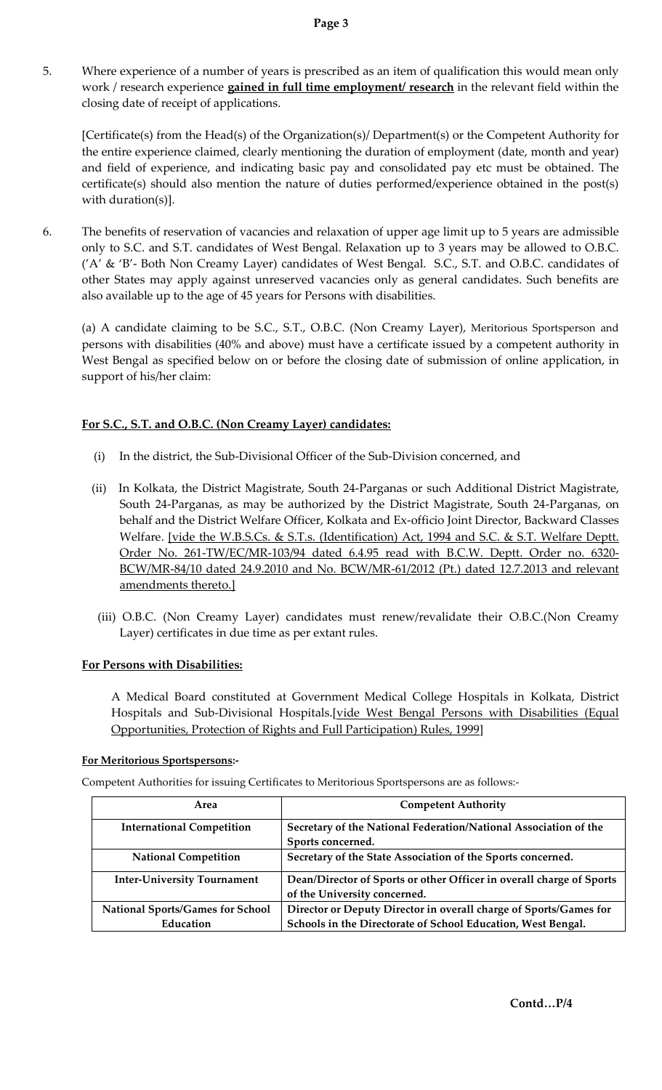5. Where experience of a number of years is prescribed as an item of qualification this would mean only work / research experience **gained in full time employment/ research** in the relevant field within the closing date of receipt of applications.

[Certificate(s) from the Head(s) of the Organization(s)/ Department(s) or the Competent Authority for the entire experience claimed, clearly mentioning the duration of employment (date, month and year) and field of experience, and indicating basic pay and consolidated pay etc must be obtained. The certificate(s) should also mention the nature of duties performed/experience obtained in the post(s) with duration(s)].

6. The benefits of reservation of vacancies and relaxation of upper age limit up to 5 years are admissible only to S.C. and S.T. candidates of West Bengal. Relaxation up to 3 years may be allowed to O.B.C. ('A' & 'B'- Both Non Creamy Layer) candidates of West Bengal. S.C., S.T. and O.B.C. candidates of other States may apply against unreserved vacancies only as general candidates. Such benefits are also available up to the age of 45 years for Persons with disabilities.

(a) A candidate claiming to be S.C., S.T., O.B.C. (Non Creamy Layer), Meritorious Sportsperson and persons with disabilities (40% and above) must have a certificate issued by a competent authority in West Bengal as specified below on or before the closing date of submission of online application, in support of his/her claim:

### **For S.C., S.T. and O.B.C. (Non Creamy Layer) candidates:**

- (i) In the district, the Sub-Divisional Officer of the Sub-Division concerned, and
- (ii) In Kolkata, the District Magistrate, South 24-Parganas or such Additional District Magistrate, South 24-Parganas, as may be authorized by the District Magistrate, South 24-Parganas, on behalf and the District Welfare Officer, Kolkata and Ex-officio Joint Director, Backward Classes Welfare. [vide the W.B.S.Cs. & S.T.s. (Identification) Act, 1994 and S.C. & S.T. Welfare Deptt. Order No. 261-TW/EC/MR-103/94 dated 6.4.95 read with B.C.W. Deptt. Order no. 6320- BCW/MR-84/10 dated 24.9.2010 and No. BCW/MR-61/2012 (Pt.) dated 12.7.2013 and relevant amendments thereto.]
	- (iii) O.B.C. (Non Creamy Layer) candidates must renew/revalidate their O.B.C.(Non Creamy Layer) certificates in due time as per extant rules.

### **For Persons with Disabilities:**

A Medical Board constituted at Government Medical College Hospitals in Kolkata, District Hospitals and Sub-Divisional Hospitals.[vide West Bengal Persons with Disabilities (Equal Opportunities, Protection of Rights and Full Participation) Rules, 1999]

### **For Meritorious Sportspersons:-**

Competent Authorities for issuing Certificates to Meritorious Sportspersons are as follows:-

| Area                                    | <b>Competent Authority</b>                                           |
|-----------------------------------------|----------------------------------------------------------------------|
| <b>International Competition</b>        | Secretary of the National Federation/National Association of the     |
|                                         | Sports concerned.                                                    |
| <b>National Competition</b>             | Secretary of the State Association of the Sports concerned.          |
| <b>Inter-University Tournament</b>      | Dean/Director of Sports or other Officer in overall charge of Sports |
|                                         | of the University concerned.                                         |
| <b>National Sports/Games for School</b> | Director or Deputy Director in overall charge of Sports/Games for    |
| Education                               | Schools in the Directorate of School Education, West Bengal.         |